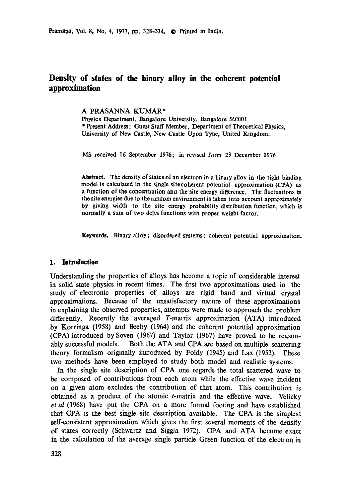Pramāņa, Vol. 8, No. 4, 1977, pp. 328-334. <sup>o</sup> Printed in India.

# **Density of states of the binary alloy in the coherent potential approximation**

### A PRASANNA KUMAR\*

Physics Department, Bangalore University, Bangalore 560001 \* Present Address: Guest Staff Member, Department **of Theoretical** Physics, **University of** New Castle, New Castle Upon Tyne, United Kingdom.

MS received 16 September 1976; in revised form 23 December 1976

**Abstract.** The density of states of an electron in a binary alloy in the **tight binding**  model **is calculated in the** single site coherent potential approximation (CPA) as **a function of the concentration ano the site energy difference. The fluctuations in**  the site energies due to the random environment is taken into account approximately **by giving width to the site energy probability distribution** function, which **is**  normally a sum **of two delta functions** with proper weight factor.

**Keywords.** Binary alloy; disordered systems; coherent potential approximation.

#### **1. Introduction**

Understanding the properties of alloys has become a topic of considerable interest in solid state physics in recent times. The first two approximations used in the study of electronic properties of alloys are rigid band and virtual crystal approximations. Because of the unsatisfactory nature of these approximations in explaining the observed properties, attempts were made to approach the problem differently. Recently the averaged T-matrix approximation (ATA) introduced by Korringa (1958) and Beeby (1964) and the coherent potential approximation (CPA) introduced by Soven (1967) and Taylor (1967) have proved to be reasonably successful models. Both the ATA and CPA are based on multiple scattering theory formalism originally introduced by Foldy (1945) and Lax (1952). These two methods have been employed to study both model and realistic systems.

In the single site description of CPA one regards the total scattered wave to be composed of contributions from each atom while the effective wave incident on a given atom excludes the contribution of that atom. This contribution is obtained as a product of the atomic t-matrix and the effective wave. Velicky *et al* (1968) have put the CPA on a more formal footing and have established that CPA is the best single site description available. The CPA is the simplest self-consistent approximation which gives the first several moments of the density of states correctly (Schwartz and Siggia 1972). CPA and ATA become exact in the calculation of the average single particle Green function of the electron in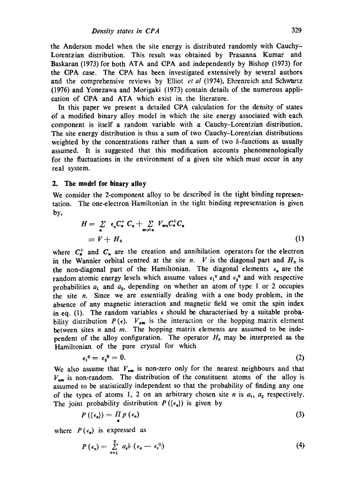the Anderson model when the site energy is distributed randomly with Cauchy-Lorentzian distribution. This result was obtained by Prasanna Kumar and Baskaran (1973) for both ATA and CPA and independently by Bishop (1973) for the CPA case. The CPA has been investigated extensively by several authors and the comprehensive reviews by Elliot et al (1974), Ehrenreich and Schwartz (1976) and Yonezawa and Morigaki (1973) contain details of-the numerous application of GPA and ATA which exist in the literature.

In this paper we present a detailed CPA calculation for the density of states of a modified binary alloy model in which the site energy associated with each component is itself a random variable with a Cauchy-Lorentzian distribution. The site energy distribution is thus a sum of two Cauchy-Lorentzian distributions weighted by the concentrations rather than a sum of two  $\delta$ -functions as usually assumed. It is suggested that this modification accounts phenomenologically for the fluctuations in the environment of a given site which must occur in any real system.

#### **2. The model for binary alloy**

We consider the 2-component alloy to be described in the tight binding representation. The one-electron Hamiltonian in the tight binding representation is given. by.

$$
H = \sum_{n} \epsilon_n C_n^+ C_n + \sum_{m \neq n} V_{mn} C_n^+ C_n
$$
  
\n
$$
\equiv V + H_0
$$
 (1)

where  $C_{\bullet}^{+}$  and  $C_{n}$  are the creation and annihilation operators for the electron in the Wannier orbital centred at the site n. V is the diagonal part and  $H_0$  is the non-diagonal part of the Hamiltonian. The diagonal elements  $\epsilon_n$  are the random atomic energy levels which assume values  $\epsilon_1$ <sup>0</sup> and  $\epsilon_2$ <sup>0</sup> and with respective probabilities  $a_1$  and  $a_2$ , depending on whether an atom of type 1 or 2 occupies the site  $n$ . Since we are essentially dealing with a one body problem, in the absence of any magnetic interaction and magnetic field we omit the spin index in eq. (1). The random variables  $\epsilon$  should be characterised by a suitable probability distribution  $P(\epsilon)$ .  $V_{nm}$  is the interaction or the hopping matrix element between sites  $n$  and  $m$ . The hopping matrix elements are assumed to be independent of the alloy configuration. The operator  $H_0$  may be interpreted as the Hamiltonian of the pure crystal for which

$$
\epsilon_1^0 = \epsilon_2^0 = 0. \tag{2}
$$

We also assume that  $V_{nm}$  is non-zero only for the nearest neighbours and that  $V_{nm}$  is non-random. The distribution of the constituent atoms of the alloy is assumed to be statistically independent so that the probability of finding any one of the types of atoms 1, 2 on an arbitrary chosen site *n* is  $a_1$ ,  $a_2$  respectively. The joint probability distribution  $P(\{\epsilon_n\})$  is given by

$$
P\left(\left\{\epsilon_n\right\}\right) = \prod_{n} p\left(\epsilon_n\right) \tag{3}
$$

where  $P(\epsilon_n)$  is expressed as

$$
P\left(\epsilon_n\right)=\sum_{s=1}^2\ a_s\delta\left(\epsilon_n-\epsilon_s{}^{0}\right)\tag{4}
$$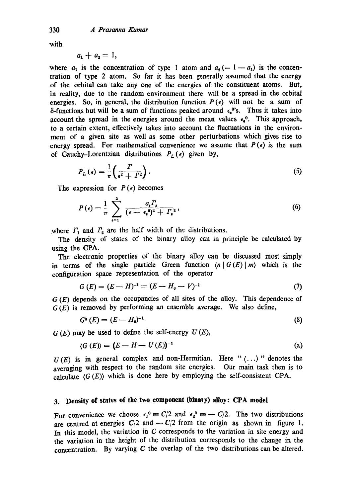with

$$
a_1+a_2=1,
$$

where  $a_1$  is the concentration of type 1 atom and  $a_2 (= 1 - a_1)$  is the concentration of type 2 atom. So far it has been generally assumed that the energy of the orbital can take any one of the energies of the constituent atoms. But, in reality, due to the random environment there will be a spread in the orbital energies. So, in general, the distribution function  $P(\epsilon)$  will not be a sum of  $\delta$ -functions but will be a sum of functions peaked around  $\epsilon_{\epsilon}^{0}$ 's. Thus it takes into account the spread in the energies around the mean values  $\epsilon_{\epsilon}^{0}$ . This approach, to a certain extent, effectively takes into account the fluctuations in the environment of a given site as well as some other perturbations which gives rise to energy spread. For mathematical convenience we assume that  $P(\epsilon)$  is the sum of Cauchy-Lorentzian distributions  $P_L(\epsilon)$  given by,

$$
P_L(\epsilon) = \frac{1}{\pi} \left( \frac{\Gamma}{\epsilon^2 + \Gamma^2} \right). \tag{5}
$$

The expression for  $P(\epsilon)$  becomes

$$
P(\epsilon) = \frac{1}{\pi} \sum_{s=1}^{2} \frac{a_s \Gamma_s}{(\epsilon - \epsilon_s^0)^2 + \Gamma_s^2}, \tag{6}
$$

where  $\Gamma_1$  and  $\Gamma_2$  are the half width of the distributions.

The density of states of the binary alloy can in principle be calculated by using the CPA.

The electronic properties of the binary alloy can be discussed most simply in terms of the single particle Green function  $\langle n | G(E) | m \rangle$  which is the configuration space representation of the operator

$$
G(E) = (E - H)^{-1} = (E - H_0 - V)^{-1}
$$
\n(7)

 $G(E)$  depends on the occupancies of all sites of the alloy. This dependence of  $G(E)$  is removed by performing an ensemble average. We also define,

$$
G^{0}(E) = (E - H_{0})^{-1}
$$
\n(8)

 $G(E)$  may be used to define the self-energy  $U(E)$ ,

$$
\langle G(E) \rangle = (E - H - U(E))^{-1} \tag{a}
$$

 $U(E)$  is in general complex and non-Hermitian. Here " $\langle \ldots \rangle$ " denotes the averaging with respect to the random site energies. Our main task then is to calculate  $\langle G(E) \rangle$  which is done here by employing the self-consistent CPA.

## **3. Density of states of the two component (binary) alloy: CPA model**

For convenience we choose  $\epsilon_1^0 = C/2$  and  $\epsilon_2^0 = -C/2$ . The two distributions are centred at energies  $C/2$  and  $-C/2$  from the origin as shown in figure 1. In this model, the variation in  $C$  corresponds to the variation in site energy and the variation in the height of the distribution corresponds to the change in the concentration. By varying C the overlap of the two distributions can be altered.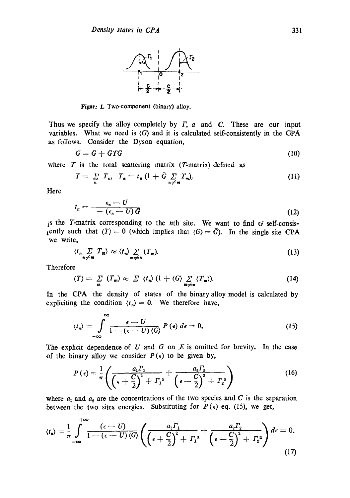

Figur<sup>3</sup> 1. Two-component (binary) alloy.

Thus we specify the alloy completely by  $\Gamma$ ,  $\alpha$  and  $\alpha$ . These are our input variables. What we need is  $\langle G \rangle$  and it is calculated self-consistently in the CPA as follows. Consider the Dyson equation,

$$
G = \bar{G} + \bar{G}T\bar{G}
$$
 (10)

where  $T$  is the total scattering matrix (T-matrix) defined as

$$
T = \sum_{n} T_n, \quad T_n = t_n (1 + \bar{G} \sum_{n \neq m} T_n). \tag{11}
$$

Here

$$
t_n = \frac{\epsilon_n - U}{-\left(\epsilon_n - U\right)\vec{G}}
$$
 (12)

is the T-matrix corresponding to the *n*th site. We want to find  $G$  self-consistently such that  $\langle T \rangle = 0$  (which implies that  $\langle G \rangle = \overline{G}$ ). In the single site CPA we write,

$$
\langle t_n \sum_{n \neq m} T_m \rangle \approx \langle t_n \rangle \sum_{m \neq n} (T_m). \tag{13}
$$

Therefore

$$
\langle T \rangle = \sum_{m} (T_m) \approx \sum \langle t_n \rangle (1 + \langle G \rangle \sum_{m \neq n} \langle T_m \rangle). \tag{14}
$$

In the CPA the density of states of the binary alloy model is calculated by expliciting the condition  $\langle t_n \rangle = 0$ . We therefore have,

$$
\langle t_n \rangle = \int_{-\infty}^{\infty} \frac{\epsilon - U}{1 - (\epsilon - U) \langle G \rangle} P(\epsilon) d\epsilon = 0.
$$
 (15)

The explicit dependence of  $U$  and  $G$  on  $E$  is omitted for brevity. In the case of the binary alloy we consider  $P(\epsilon)$  to be given by,

$$
P\left(\epsilon\right) = \frac{1}{\pi} \left( \frac{a_1 \Gamma_1}{\left(\epsilon + \frac{C}{2}\right)^2 + \Gamma_1^2} + \frac{a_2 \Gamma_2}{\left(\epsilon - \frac{C}{2}\right)^2 + \Gamma_2^2} \right) \tag{16}
$$

where  $a_1$  and  $a_2$  are the concentrations of the two species and C is the separation between the two sites energies. Substituting for  $P(\epsilon)$  eq. (15), we get,

$$
\langle t_{\mathbf{a}}\rangle = \frac{1}{\pi} \int_{-\infty}^{+\infty} \frac{(\epsilon - U)}{1 - (\epsilon - U)\langle G\rangle} \left( \frac{a_1 \Gamma_1}{\left(\epsilon + \frac{C}{2}\right)^2 + \Gamma_1^2} + \frac{a_2 \Gamma_2}{\left(\epsilon - \frac{C}{2}\right)^2 + \Gamma_2^2} \right) d\epsilon = 0.
$$
\n(17)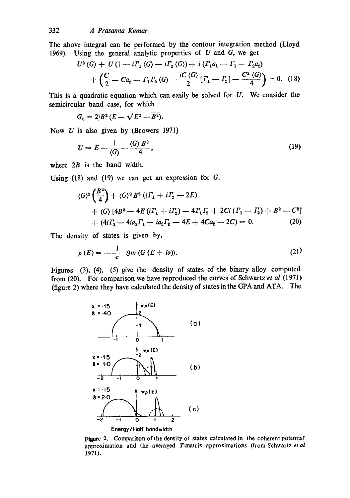The above integral can be performed by the contour integration method (Lloyd 1969). Using the general analytic properties of  $U$  and  $G$ , we get

$$
U^{2}(G) + U(1 - i\Gamma_{1} \langle G \rangle - i\Gamma_{2} \langle G \rangle) + i(\Gamma_{1}a_{1} - \Gamma_{1} - \Gamma_{2}a_{2})
$$
  
+ 
$$
\left(\frac{C}{2} - Ca_{2} - \Gamma_{1}\Gamma_{2} \langle G \rangle - \frac{iC \langle G \rangle}{2} [\Gamma_{1} - \Gamma_{2}] - \frac{C^{2} \langle G \rangle}{4}\right) = 0.
$$
 (18)

This is a quadratic equation which can easily be solved for  $U$ . We consider the semicircular band case, for which

$$
G_{\mathfrak{g}}=2/B^2(E-\sqrt{E^2-B^2}).
$$

Now  $U$  is also given by (Browers 1971)

$$
U = E - \frac{1}{\langle G \rangle} - \frac{\langle G \rangle B^2}{4},\tag{19}
$$

where 2B is the band width.

Using  $(18)$  and  $(19)$  we can get an expression for  $G$ .

$$
\langle G \rangle^3 \left( \frac{B^2}{4} \right) + \langle G \rangle^2 B^2 \left( i \Gamma_1 + i \Gamma_2 - 2E \right) \n+ \langle G \rangle \left[ 4B^2 - 4E \left( i \Gamma_1 + i \Gamma_2 \right) - 4 \Gamma_1 \Gamma_2 + 2Ci \left( \Gamma_1 - \Gamma_2 \right) + B^2 - C^2 \right] \n+ \langle 4i \Gamma_2 - 4ia_2 \Gamma_1 + ia_2 \Gamma_2 - 4E + 4Ca_2 - 2C \rangle = 0.
$$
\n(20)

The density of states is given by,

$$
\rho(E) = -\frac{1}{\pi} \mathfrak{g}_m \langle G(E + i\omega) \rangle. \tag{21}
$$

Figures (3), (4), (5) give the density of states of the binary alloy computed from (20). For comparison we have reproduced the curves of Schwartz *et al* (1971) (figure 2) where they have calculated the density of states in the CPA and ATA. The



Figure 2. Comparison of the density of states calculated in the coherent potential approximation and the averaged T-matrix approximations (from Schwartz et al 1971).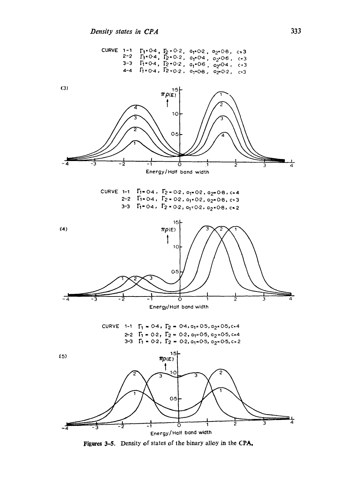

Figures 3-5. Density of states of the binary alloy in the CPA,